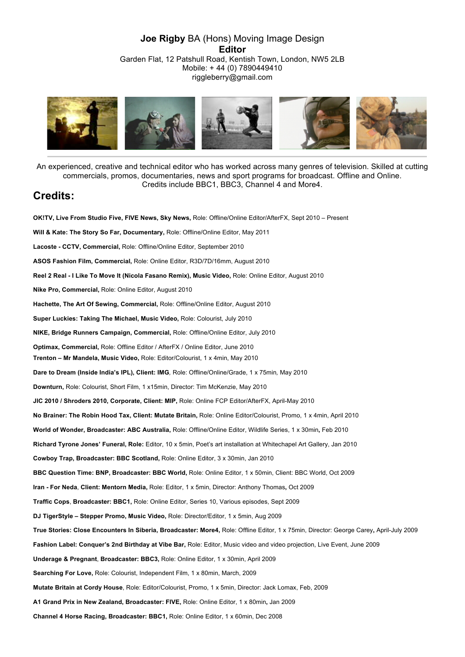#### **Joe Rigby** BA (Hons) Moving Image Design **Editor** Garden Flat, 12 Patshull Road, Kentish Town, London, NW5 2LB Mobile: + 44 (0) 7890449410 riggleberry@gmail.com



An experienced, creative and technical editor who has worked across many genres of television. Skilled at cutting commercials, promos, documentaries, news and sport programs for broadcast. Offline and Online. Credits include BBC1, BBC3, Channel 4 and More4.

### **Credits:**

**OK!TV, Live From Studio Five, FIVE News, Sky News,** Role: Offline/Online Editor/AfterFX, Sept 2010 – Present **Will & Kate: The Story So Far, Documentary,** Role: Offline/Online Editor, May 2011 **Lacoste - CCTV, Commercial,** Role: Offline/Online Editor, September 2010 **ASOS Fashion Film, Commercial,** Role: Online Editor, R3D/7D/16mm, August 2010 **Reel 2 Real - I Like To Move It (Nicola Fasano Remix), Music Video,** Role: Online Editor, August 2010 **Nike Pro, Commercial,** Role: Online Editor, August 2010 **Hachette, The Art Of Sewing, Commercial,** Role: Offline/Online Editor, August 2010 **Super Luckies: Taking The Michael, Music Video,** Role: Colourist, July 2010 **NIKE, Bridge Runners Campaign, Commercial,** Role: Offline/Online Editor, July 2010 **Optimax, Commercial,** Role: Offline Editor / AfterFX / Online Editor, June 2010 **Trenton – Mr Mandela, Music Video,** Role: Editor/Colourist, 1 x 4min, May 2010 **Dare to Dream (Inside India's IPL), Client: IMG***,* Role: Offline/Online/Grade, 1 x 75min*,* May 2010 **Downturn,** Role: Colourist, Short Film, 1 x15min, Director: Tim McKenzie, May 2010 **JIC 2010 / Shroders 2010, Corporate, Client: MIP,** Role: Online FCP Editor/AfterFX, April-May 2010 **No Brainer: The Robin Hood Tax, Client: Mutate Britain,** Role: Online Editor/Colourist, Promo, 1 x 4min, April 2010 **World of Wonder, Broadcaster: ABC Australia,** Role: Offline/Online Editor, Wildlife Series, 1 x 30min**,** Feb 2010 **Richard Tyrone Jones' Funeral, Role:** Editor, 10 x 5min, Poet's art installation at Whitechapel Art Gallery, Jan 2010 **Cowboy Trap, Broadcaster: BBC Scotland,** Role: Online Editor, 3 x 30min, Jan 2010 **BBC Question Time: BNP, Broadcaster: BBC World,** Role: Online Editor, 1 x 50min, Client: BBC World, Oct 2009 **Iran - For Neda**, **Client: Mentorn Media,** Role: Editor, 1 x 5min, Director: Anthony Thomas**,** Oct 2009 **Traffic Cops**, **Broadcaster: BBC1,** Role: Online Editor, Series 10, Various episodes, Sept 2009 **DJ TigerStyle – Stepper Promo, Music Video,** Role: Director/Editor, 1 x 5min, Aug 2009 **True Stories: Close Encounters In Siberia, Broadcaster: More4,** Role: Offline Editor, 1 x 75min, Director: George Carey**,** April-July 2009 **Fashion Label: Conquer's 2nd Birthday at Vibe Bar,** Role: Editor, Music video and video projection, Live Event, June 2009 **Underage & Pregnant**, **Broadcaster: BBC3,** Role: Online Editor, 1 x 30min, April 2009 **Searching For Love,** Role: Colourist, Independent Film, 1 x 80min, March, 2009 **Mutate Britain at Cordy House**, Role: Editor/Colourist, Promo, 1 x 5min, Director: Jack Lomax, Feb, 2009 **A1 Grand Prix in New Zealand, Broadcaster: FIVE,** Role: Online Editor, 1 x 80min**,** Jan 2009 **Channel 4 Horse Racing, Broadcaster: BBC1,** Role: Online Editor, 1 x 60min, Dec 2008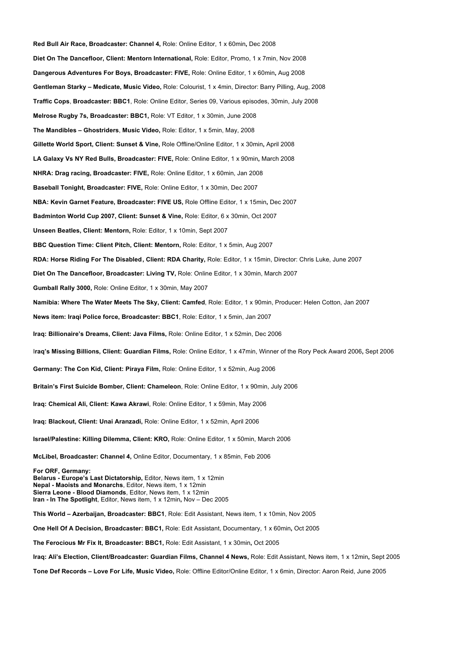**Red Bull Air Race, Broadcaster: Channel 4,** Role: Online Editor, 1 x 60min**,** Dec 2008 **Diet On The Dancefloor, Client: Mentorn International,** Role: Editor, Promo, 1 x 7min, Nov 2008 **Dangerous Adventures For Boys, Broadcaster: FIVE,** Role: Online Editor, 1 x 60min**,** Aug 2008 **Gentleman Starky – Medicate, Music Video,** Role: Colourist, 1 x 4min, Director: Barry Pilling, Aug, 2008 **Traffic Cops**, **Broadcaster: BBC1**, Role: Online Editor, Series 09, Various episodes, 30min, July 2008 **Melrose Rugby 7s, Broadcaster: BBC1,** Role: VT Editor, 1 x 30min, June 2008 **The Mandibles – Ghostriders**, **Music Video,** Role: Editor, 1 x 5min, May, 2008 **Gillette World Sport, Client: Sunset & Vine,** Role Offline/Online Editor, 1 x 30min**,** April 2008 **LA Galaxy Vs NY Red Bulls, Broadcaster: FIVE,** Role: Online Editor, 1 x 90min**,** March 2008 **NHRA: Drag racing, Broadcaster: FIVE,** Role: Online Editor, 1 x 60min, Jan 2008 **Baseball Tonight, Broadcaster: FIVE,** Role: Online Editor, 1 x 30min, Dec 2007 **NBA: Kevin Garnet Feature, Broadcaster: FIVE US,** Role Offline Editor, 1 x 15min**,** Dec 2007 **Badminton World Cup 2007, Client: Sunset & Vine,** Role: Editor, 6 x 30min, Oct 2007 **Unseen Beatles, Client: Mentorn,** Role: Editor, 1 x 10min, Sept 2007 **BBC Question Time: Client Pitch, Client: Mentorn,** Role: Editor, 1 x 5min, Aug 2007 **RDA: Horse Riding For The Disabled, Client: RDA Charity,** Role: Editor, 1 x 15min, Director: Chris Luke, June 2007 **Diet On The Dancefloor, Broadcaster: Living TV,** Role: Online Editor, 1 x 30min, March 2007 **Gumball Rally 3000,** Role: Online Editor, 1 x 30min, May 2007 **Namibia: Where The Water Meets The Sky, Client: Camfed**, Role: Editor, 1 x 90min, Producer: Helen Cotton, Jan 2007 **News item: Iraqi Police force, Broadcaster: BBC1**, Role: Editor, 1 x 5min, Jan 2007 **Iraq: Billionaire's Dreams, Client: Java Films,** Role: Online Editor, 1 x 52min, Dec 2006 I**raq's Missing Billions, Client: Guardian Films,** Role: Online Editor, 1 x 47min, Winner of the Rory Peck Award 2006**,** Sept 2006 **Germany: The Con Kid, Client: Piraya Film,** Role: Online Editor, 1 x 52min, Aug 2006 **Britain's First Suicide Bomber, Client: Chameleon**, Role: Online Editor, 1 x 90min, July 2006 **Iraq: Chemical Ali, Client: Kawa Akrawi**, Role: Online Editor, 1 x 59min, May 2006 **Iraq: Blackout, Client: Unai Aranzadi,** Role: Online Editor, 1 x 52min, April 2006 **Israel/Palestine: Killing Dilemma, Client: KRO,** Role: Online Editor, 1 x 50min, March 2006 **McLibel, Broadcaster: Channel 4,** Online Editor, Documentary, 1 x 85min, Feb 2006 **For ORF, Germany: Belarus - Europe's Last Dictatorship,** Editor, News item, 1 x 12min **Nepal - Maoists and Monarchs**, Editor, News item, 1 x 12min **Sierra Leone - Blood Diamonds**, Editor, News item, 1 x 12min **Iran - In The Spotlight**, Editor, News item, 1 x 12min**,** Nov – Dec 2005 **This World – Azerbaijan, Broadcaster: BBC1**, Role: Edit Assistant, News item, 1 x 10min, Nov 2005 **One Hell Of A Decision, Broadcaster: BBC1,** Role: Edit Assistant, Documentary, 1 x 60min**,** Oct 2005 **The Ferocious Mr Fix It, Broadcaster: BBC1,** Role: Edit Assistant, 1 x 30min**,** Oct 2005 **Iraq: Ali's Election, Client/Broadcaster: Guardian Films, Channel 4 News,** Role: Edit Assistant, News item, 1 x 12min**,** Sept 2005 **Tone Def Records – Love For Life, Music Video,** Role: Offline Editor/Online Editor, 1 x 6min, Director: Aaron Reid, June 2005